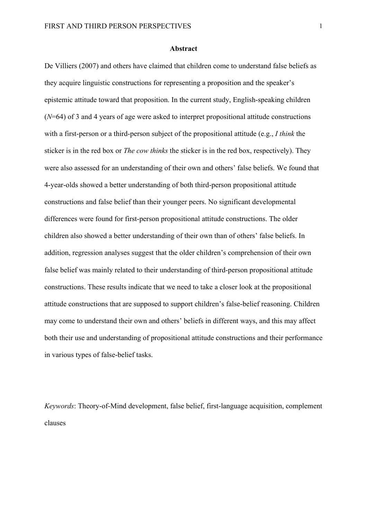#### **Abstract**

De Villiers (2007) and others have claimed that children come to understand false beliefs as they acquire linguistic constructions for representing a proposition and the speaker's epistemic attitude toward that proposition. In the current study, English-speaking children (*N*=64) of 3 and 4 years of age were asked to interpret propositional attitude constructions with a first-person or a third-person subject of the propositional attitude (e.g., *I think* the sticker is in the red box or *The cow thinks* the sticker is in the red box, respectively). They were also assessed for an understanding of their own and others' false beliefs. We found that 4-year-olds showed a better understanding of both third-person propositional attitude constructions and false belief than their younger peers. No significant developmental differences were found for first-person propositional attitude constructions. The older children also showed a better understanding of their own than of others' false beliefs. In addition, regression analyses suggest that the older children's comprehension of their own false belief was mainly related to their understanding of third-person propositional attitude constructions. These results indicate that we need to take a closer look at the propositional attitude constructions that are supposed to support children's false-belief reasoning. Children may come to understand their own and others' beliefs in different ways, and this may affect both their use and understanding of propositional attitude constructions and their performance in various types of false-belief tasks.

*Keywords*: Theory-of-Mind development, false belief, first-language acquisition, complement clauses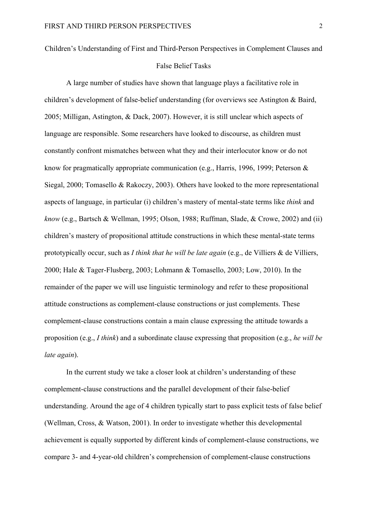# Children's Understanding of First and Third-Person Perspectives in Complement Clauses and False Belief Tasks

A large number of studies have shown that language plays a facilitative role in children's development of false-belief understanding (for overviews see Astington & Baird, 2005; Milligan, Astington, & Dack, 2007). However, it is still unclear which aspects of language are responsible. Some researchers have looked to discourse, as children must constantly confront mismatches between what they and their interlocutor know or do not know for pragmatically appropriate communication (e.g., Harris, 1996, 1999; Peterson & Siegal, 2000; Tomasello & Rakoczy, 2003). Others have looked to the more representational aspects of language, in particular (i) children's mastery of mental-state terms like *think* and *know* (e.g., Bartsch & Wellman, 1995; Olson, 1988; Ruffman, Slade, & Crowe, 2002) and (ii) children's mastery of propositional attitude constructions in which these mental-state terms prototypically occur, such as *I think that he will be late again* (e.g., de Villiers & de Villiers, 2000; Hale & Tager-Flusberg, 2003; Lohmann & Tomasello, 2003; Low, 2010). In the remainder of the paper we will use linguistic terminology and refer to these propositional attitude constructions as complement-clause constructions or just complements. These complement-clause constructions contain a main clause expressing the attitude towards a proposition (e.g., *I think*) and a subordinate clause expressing that proposition (e.g., *he will be late again*).

In the current study we take a closer look at children's understanding of these complement-clause constructions and the parallel development of their false-belief understanding. Around the age of 4 children typically start to pass explicit tests of false belief (Wellman, Cross, & Watson, 2001). In order to investigate whether this developmental achievement is equally supported by different kinds of complement-clause constructions, we compare 3- and 4-year-old children's comprehension of complement-clause constructions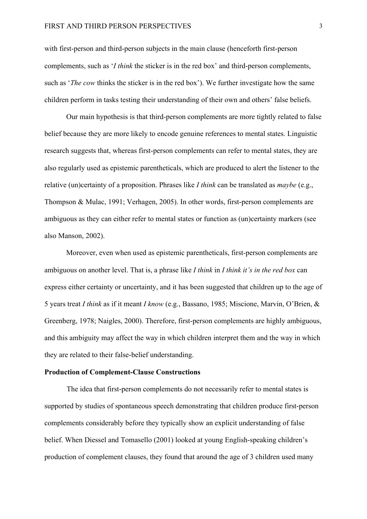with first-person and third-person subjects in the main clause (henceforth first-person complements, such as '*I think* the sticker is in the red box' and third-person complements, such as '*The cow* thinks the sticker is in the red box'). We further investigate how the same children perform in tasks testing their understanding of their own and others' false beliefs.

Our main hypothesis is that third-person complements are more tightly related to false belief because they are more likely to encode genuine references to mental states. Linguistic research suggests that, whereas first-person complements can refer to mental states, they are also regularly used as epistemic parentheticals, which are produced to alert the listener to the relative (un)certainty of a proposition. Phrases like *I think* can be translated as *maybe* (e.g., Thompson & Mulac, 1991; Verhagen, 2005). In other words, first-person complements are ambiguous as they can either refer to mental states or function as (un)certainty markers (see also Manson, 2002).

Moreover, even when used as epistemic parentheticals, first-person complements are ambiguous on another level. That is, a phrase like *I think* in *I think it's in the red box* can express either certainty or uncertainty, and it has been suggested that children up to the age of 5 years treat *I think* as if it meant *I know* (e.g., Bassano, 1985; Miscione, Marvin, O'Brien, & Greenberg, 1978; Naigles, 2000). Therefore, first-person complements are highly ambiguous, and this ambiguity may affect the way in which children interpret them and the way in which they are related to their false-belief understanding.

### **Production of Complement-Clause Constructions**

The idea that first-person complements do not necessarily refer to mental states is supported by studies of spontaneous speech demonstrating that children produce first-person complements considerably before they typically show an explicit understanding of false belief. When Diessel and Tomasello (2001) looked at young English-speaking children's production of complement clauses, they found that around the age of 3 children used many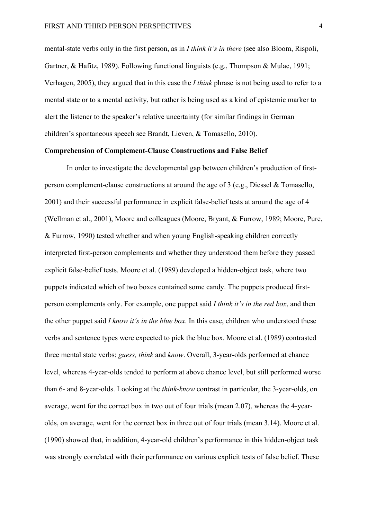mental-state verbs only in the first person, as in *I think it's in there* (see also Bloom, Rispoli, Gartner, & Hafitz, 1989). Following functional linguists (e.g., Thompson & Mulac, 1991; Verhagen, 2005), they argued that in this case the *I think* phrase is not being used to refer to a mental state or to a mental activity, but rather is being used as a kind of epistemic marker to alert the listener to the speaker's relative uncertainty (for similar findings in German children's spontaneous speech see Brandt, Lieven, & Tomasello, 2010).

# **Comprehension of Complement-Clause Constructions and False Belief**

In order to investigate the developmental gap between children's production of firstperson complement-clause constructions at around the age of 3 (e.g., Diessel & Tomasello, 2001) and their successful performance in explicit false-belief tests at around the age of 4 (Wellman et al., 2001), Moore and colleagues (Moore, Bryant, & Furrow, 1989; Moore, Pure, & Furrow, 1990) tested whether and when young English-speaking children correctly interpreted first-person complements and whether they understood them before they passed explicit false-belief tests. Moore et al. (1989) developed a hidden-object task, where two puppets indicated which of two boxes contained some candy. The puppets produced firstperson complements only. For example, one puppet said *I think it's in the red box*, and then the other puppet said *I know it's in the blue box*. In this case, children who understood these verbs and sentence types were expected to pick the blue box. Moore et al. (1989) contrasted three mental state verbs: *guess, think* and *know*. Overall, 3-year-olds performed at chance level, whereas 4-year-olds tended to perform at above chance level, but still performed worse than 6- and 8-year-olds. Looking at the *think*-*know* contrast in particular, the 3-year-olds, on average, went for the correct box in two out of four trials (mean 2.07), whereas the 4-yearolds, on average, went for the correct box in three out of four trials (mean 3.14). Moore et al. (1990) showed that, in addition, 4-year-old children's performance in this hidden-object task was strongly correlated with their performance on various explicit tests of false belief. These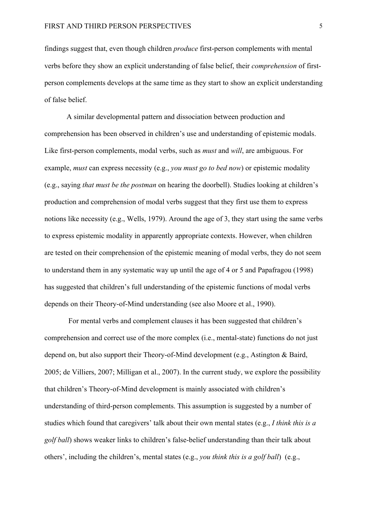findings suggest that, even though children *produce* first-person complements with mental verbs before they show an explicit understanding of false belief, their *comprehension* of firstperson complements develops at the same time as they start to show an explicit understanding of false belief.

A similar developmental pattern and dissociation between production and comprehension has been observed in children's use and understanding of epistemic modals. Like first-person complements, modal verbs, such as *must* and *will*, are ambiguous. For example, *must* can express necessity (e.g., *you must go to bed now*) or epistemic modality (e.g., saying *that must be the postman* on hearing the doorbell). Studies looking at children's production and comprehension of modal verbs suggest that they first use them to express notions like necessity (e.g., Wells, 1979). Around the age of 3, they start using the same verbs to express epistemic modality in apparently appropriate contexts. However, when children are tested on their comprehension of the epistemic meaning of modal verbs, they do not seem to understand them in any systematic way up until the age of 4 or 5 and Papafragou (1998) has suggested that children's full understanding of the epistemic functions of modal verbs depends on their Theory-of-Mind understanding (see also Moore et al., 1990).

For mental verbs and complement clauses it has been suggested that children's comprehension and correct use of the more complex (i.e., mental-state) functions do not just depend on, but also support their Theory-of-Mind development (e.g., Astington & Baird, 2005; de Villiers, 2007; Milligan et al., 2007). In the current study, we explore the possibility that children's Theory-of-Mind development is mainly associated with children's understanding of third-person complements. This assumption is suggested by a number of studies which found that caregivers' talk about their own mental states (e.g., *I think this is a golf ball*) shows weaker links to children's false-belief understanding than their talk about others', including the children's, mental states (e.g., *you think this is a golf ball*) (e.g.,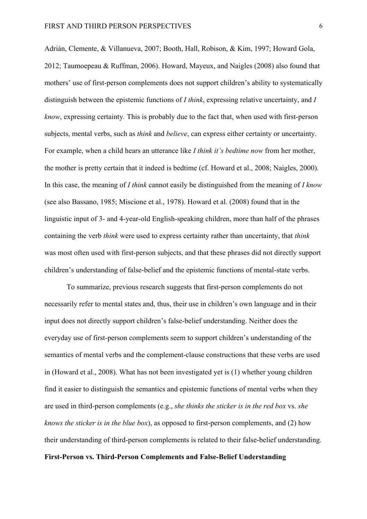Adrián, Clemente, & Villanueva, 2007; Booth, Hall, Robison, & Kim, 1997; Howard Gola, 2012; Taumoepeau & Ruffman, 2006). Howard, Mayeux, and Naigles (2008) also found that mothers' use of first-person complements does not support children's ability to systematically distinguish between the epistemic functions of *I think*, expressing relative uncertainty, and *I know*, expressing certainty*.* This is probably due to the fact that, when used with first-person subjects, mental verbs, such as *think* and *believe*, can express either certainty or uncertainty. For example, when a child hears an utterance like *I think it's bedtime now* from her mother, the mother is pretty certain that it indeed is bedtime (cf. Howard et al., 2008; Naigles, 2000). In this case, the meaning of *I think* cannot easily be distinguished from the meaning of *I know* (see also Bassano, 1985; Miscione et al., 1978)*.* Howard et al. (2008) found that in the linguistic input of 3- and 4-year-old English-speaking children, more than half of the phrases containing the verb *think* were used to express certainty rather than uncertainty, that *think* was most often used with first-person subjects, and that these phrases did not directly support children's understanding of false-belief and the epistemic functions of mental-state verbs.

To summarize, previous research suggests that first-person complements do not necessarily refer to mental states and, thus, their use in children's own language and in their input does not directly support children's false-belief understanding. Neither does the everyday use of first-person complements seem to support children's understanding of the semantics of mental verbs and the complement-clause constructions that these verbs are used in (Howard et al., 2008). What has not been investigated yet is (1) whether young children find it easier to distinguish the semantics and epistemic functions of mental verbs when they are used in third-person complements (e.g., *she thinks the sticker is in the red box* vs. *she knows the sticker is in the blue box*), as opposed to first-person complements, and (2) how their understanding of third-person complements is related to their false-belief understanding. **First-Person vs. Third-Person Complements and False-Belief Understanding**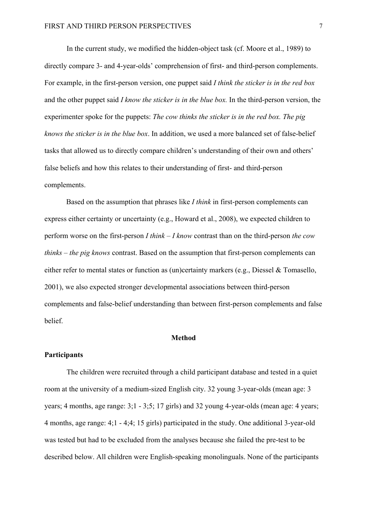In the current study, we modified the hidden-object task (cf. Moore et al., 1989) to directly compare 3- and 4-year-olds' comprehension of first- and third-person complements. For example, in the first-person version, one puppet said *I think the sticker is in the red box*  and the other puppet said *I know the sticker is in the blue box.* In the third-person version, the experimenter spoke for the puppets: *The cow thinks the sticker is in the red box. The pig knows the sticker is in the blue box*. In addition, we used a more balanced set of false-belief tasks that allowed us to directly compare children's understanding of their own and others' false beliefs and how this relates to their understanding of first- and third-person complements.

Based on the assumption that phrases like *I think* in first-person complements can express either certainty or uncertainty (e.g., Howard et al., 2008), we expected children to perform worse on the first-person *I think – I know* contrast than on the third-person *the cow thinks – the pig knows* contrast. Based on the assumption that first-person complements can either refer to mental states or function as (un)certainty markers (e.g., Diessel & Tomasello, 2001), we also expected stronger developmental associations between third-person complements and false-belief understanding than between first-person complements and false belief.

### **Method**

#### **Participants**

The children were recruited through a child participant database and tested in a quiet room at the university of a medium-sized English city. 32 young 3-year-olds (mean age: 3 years; 4 months, age range: 3;1 - 3;5; 17 girls) and 32 young 4-year-olds (mean age: 4 years; 4 months, age range: 4;1 - 4;4; 15 girls) participated in the study. One additional 3-year-old was tested but had to be excluded from the analyses because she failed the pre-test to be described below. All children were English-speaking monolinguals. None of the participants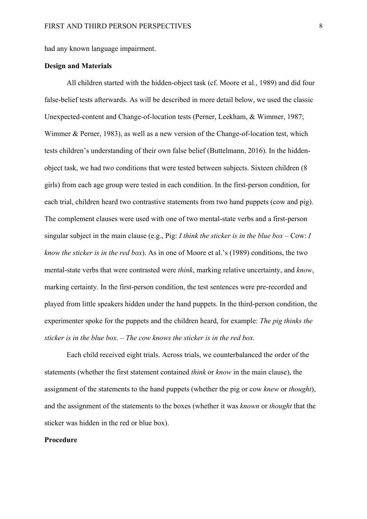had any known language impairment.

#### **Design and Materials**

All children started with the hidden-object task (cf. Moore et al., 1989) and did four false-belief tests afterwards. As will be described in more detail below, we used the classic Unexpected-content and Change-of-location tests (Perner, Leekham, & Wimmer, 1987; Wimmer & Perner, 1983), as well as a new version of the Change-of-location test, which tests children's understanding of their own false belief (Buttelmann, 2016). In the hiddenobject task, we had two conditions that were tested between subjects. Sixteen children (8 girls) from each age group were tested in each condition. In the first-person condition, for each trial, children heard two contrastive statements from two hand puppets (cow and pig). The complement clauses were used with one of two mental-state verbs and a first-person singular subject in the main clause (e.g., Pig: *I think the sticker is in the blue box* – Cow: *I know the sticker is in the red box*). As in one of Moore et al.'s (1989) conditions, the two mental-state verbs that were contrasted were *think*, marking relative uncertainty, and *know*, marking certainty. In the first-person condition, the test sentences were pre-recorded and played from little speakers hidden under the hand puppets. In the third-person condition, the experimenter spoke for the puppets and the children heard, for example: *The pig thinks the sticker is in the blue box*. – *The cow knows the sticker is in the red box.* 

Each child received eight trials. Across trials, we counterbalanced the order of the statements (whether the first statement contained *think* or *know* in the main clause), the assignment of the statements to the hand puppets (whether the pig or cow *knew* or *thought*), and the assignment of the statements to the boxes (whether it was *known* or *thought* that the sticker was hidden in the red or blue box).

### **Procedure**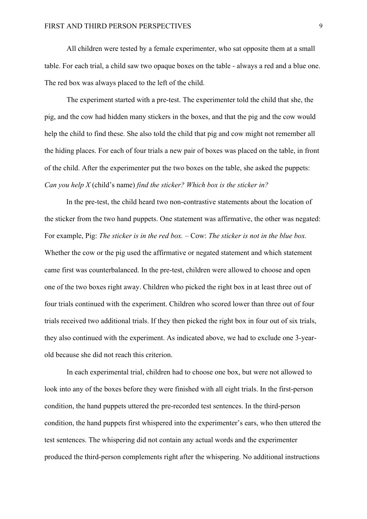All children were tested by a female experimenter, who sat opposite them at a small table. For each trial, a child saw two opaque boxes on the table - always a red and a blue one. The red box was always placed to the left of the child.

The experiment started with a pre-test. The experimenter told the child that she, the pig, and the cow had hidden many stickers in the boxes, and that the pig and the cow would help the child to find these. She also told the child that pig and cow might not remember all the hiding places. For each of four trials a new pair of boxes was placed on the table, in front of the child. After the experimenter put the two boxes on the table, she asked the puppets: *Can you help X* (child's name) *find the sticker? Which box is the sticker in?* 

In the pre-test, the child heard two non-contrastive statements about the location of the sticker from the two hand puppets. One statement was affirmative, the other was negated: For example, Pig: *The sticker is in the red box.* – Cow: *The sticker is not in the blue box.* Whether the cow or the pig used the affirmative or negated statement and which statement came first was counterbalanced. In the pre-test, children were allowed to choose and open one of the two boxes right away. Children who picked the right box in at least three out of four trials continued with the experiment. Children who scored lower than three out of four trials received two additional trials. If they then picked the right box in four out of six trials, they also continued with the experiment. As indicated above, we had to exclude one 3-yearold because she did not reach this criterion.

In each experimental trial, children had to choose one box, but were not allowed to look into any of the boxes before they were finished with all eight trials. In the first-person condition, the hand puppets uttered the pre-recorded test sentences. In the third-person condition, the hand puppets first whispered into the experimenter's ears, who then uttered the test sentences. The whispering did not contain any actual words and the experimenter produced the third-person complements right after the whispering. No additional instructions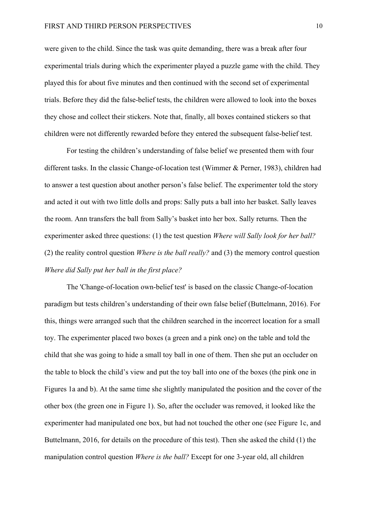were given to the child. Since the task was quite demanding, there was a break after four experimental trials during which the experimenter played a puzzle game with the child. They played this for about five minutes and then continued with the second set of experimental trials. Before they did the false-belief tests, the children were allowed to look into the boxes they chose and collect their stickers. Note that, finally, all boxes contained stickers so that children were not differently rewarded before they entered the subsequent false-belief test.

For testing the children's understanding of false belief we presented them with four different tasks. In the classic Change-of-location test (Wimmer & Perner, 1983), children had to answer a test question about another person's false belief. The experimenter told the story and acted it out with two little dolls and props: Sally puts a ball into her basket. Sally leaves the room. Ann transfers the ball from Sally's basket into her box. Sally returns. Then the experimenter asked three questions: (1) the test question *Where will Sally look for her ball?*  (2) the reality control question *Where is the ball really?* and (3) the memory control question *Where did Sally put her ball in the first place?*

The 'Change-of-location own-belief test' is based on the classic Change-of-location paradigm but tests children's understanding of their own false belief (Buttelmann, 2016). For this, things were arranged such that the children searched in the incorrect location for a small toy. The experimenter placed two boxes (a green and a pink one) on the table and told the child that she was going to hide a small toy ball in one of them. Then she put an occluder on the table to block the child's view and put the toy ball into one of the boxes (the pink one in Figures 1a and b). At the same time she slightly manipulated the position and the cover of the other box (the green one in Figure 1). So, after the occluder was removed, it looked like the experimenter had manipulated one box, but had not touched the other one (see Figure 1c, and Buttelmann, 2016, for details on the procedure of this test). Then she asked the child (1) the manipulation control question *Where is the ball?* Except for one 3-year old, all children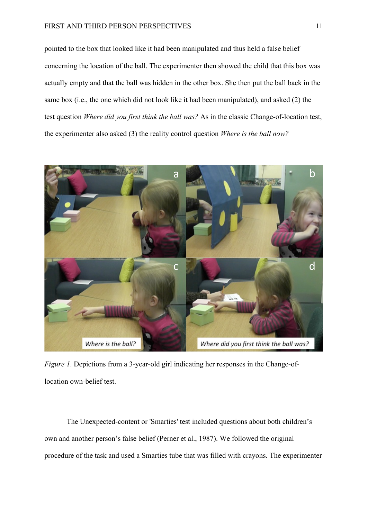pointed to the box that looked like it had been manipulated and thus held a false belief concerning the location of the ball. The experimenter then showed the child that this box was actually empty and that the ball was hidden in the other box. She then put the ball back in the same box (i.e., the one which did not look like it had been manipulated), and asked (2) the test question *Where did you first think the ball was?* As in the classic Change-of-location test, the experimenter also asked (3) the reality control question *Where is the ball now?*



*Figure 1*. Depictions from a 3-year-old girl indicating her responses in the Change-oflocation own-belief test.

The Unexpected-content or 'Smarties' test included questions about both children's own and another person's false belief (Perner et al., 1987). We followed the original procedure of the task and used a Smarties tube that was filled with crayons. The experimenter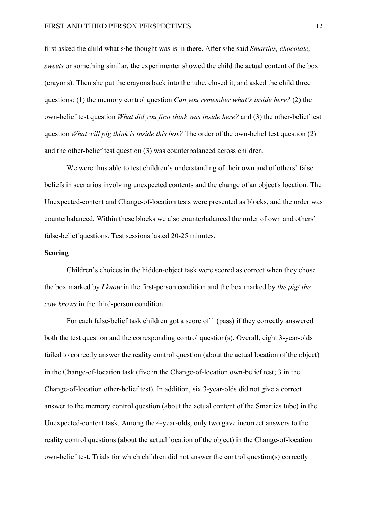first asked the child what s/he thought was is in there. After s/he said *Smarties, chocolate, sweets* or something similar, the experimenter showed the child the actual content of the box (crayons). Then she put the crayons back into the tube, closed it, and asked the child three questions: (1) the memory control question *Can you remember what's inside here?* (2) the own-belief test question *What did you first think was inside here?* and (3) the other-belief test question *What will pig think is inside this box?* The order of the own-belief test question (2) and the other-belief test question (3) was counterbalanced across children.

We were thus able to test children's understanding of their own and of others' false beliefs in scenarios involving unexpected contents and the change of an object's location. The Unexpected-content and Change-of-location tests were presented as blocks, and the order was counterbalanced. Within these blocks we also counterbalanced the order of own and others' false-belief questions. Test sessions lasted 20-25 minutes.

# **Scoring**

Children's choices in the hidden-object task were scored as correct when they chose the box marked by *I know* in the first-person condition and the box marked by *the pig/ the cow knows* in the third-person condition.

For each false-belief task children got a score of 1 (pass) if they correctly answered both the test question and the corresponding control question(s). Overall, eight 3-year-olds failed to correctly answer the reality control question (about the actual location of the object) in the Change-of-location task (five in the Change-of-location own-belief test; 3 in the Change-of-location other-belief test). In addition, six 3-year-olds did not give a correct answer to the memory control question (about the actual content of the Smarties tube) in the Unexpected-content task. Among the 4-year-olds, only two gave incorrect answers to the reality control questions (about the actual location of the object) in the Change-of-location own-belief test. Trials for which children did not answer the control question(s) correctly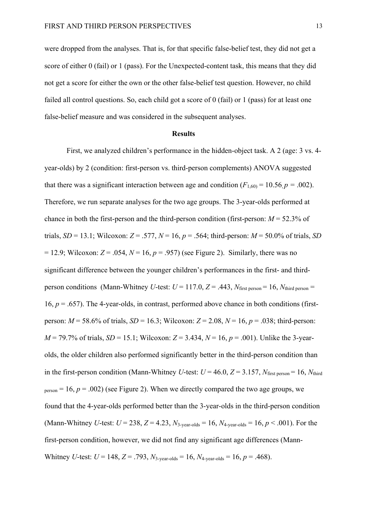were dropped from the analyses. That is, for that specific false-belief test, they did not get a score of either 0 (fail) or 1 (pass). For the Unexpected-content task, this means that they did not get a score for either the own or the other false-belief test question. However, no child failed all control questions. So, each child got a score of 0 (fail) or 1 (pass) for at least one false-belief measure and was considered in the subsequent analyses.

## **Results**

First, we analyzed children's performance in the hidden-object task. A 2 (age: 3 vs. 4 year-olds) by 2 (condition: first-person vs. third-person complements) ANOVA suggested that there was a significant interaction between age and condition  $(F_{1,60)} = 10.56$ ,  $p = .002$ ). Therefore, we run separate analyses for the two age groups. The 3-year-olds performed at chance in both the first-person and the third-person condition (first-person:  $M = 52.3\%$  of trials, *SD* = 13.1; Wilcoxon: *Z* = .577, *N* = 16, *p* = .564; third-person: *M* = 50.0% of trials, *SD*  $= 12.9$ ; Wilcoxon:  $Z = .054$ ,  $N = 16$ ,  $p = .957$ ) (see Figure 2). Similarly, there was no significant difference between the younger children's performances in the first- and thirdperson conditions (Mann-Whitney *U*-test:  $U = 117.0$ ,  $Z = .443$ ,  $N_{\text{first person}} = 16$ ,  $N_{\text{third person}} =$ 16,  $p = .657$ ). The 4-year-olds, in contrast, performed above chance in both conditions (firstperson: *M* = 58.6% of trials, *SD* = 16.3; Wilcoxon: *Z* = 2.08, *N* = 16, *p* = .038; third-person:  $M = 79.7\%$  of trials, *SD* = 15.1; Wilcoxon:  $Z = 3.434$ ,  $N = 16$ ,  $p = .001$ ). Unlike the 3-yearolds, the older children also performed significantly better in the third-person condition than in the first-person condition (Mann-Whitney *U*-test:  $U = 46.0$ ,  $Z = 3.157$ ,  $N_{\text{first person}} = 16$ ,  $N_{\text{third}}$  $p_{\text{person}} = 16$ ,  $p = .002$ ) (see Figure 2). When we directly compared the two age groups, we found that the 4-year-olds performed better than the 3-year-olds in the third-person condition (Mann-Whitney *U*-test:  $U = 238$ ,  $Z = 4.23$ ,  $N_{3\text{-year-olds}} = 16$ ,  $N_{4\text{-year-olds}} = 16$ ,  $p < .001$ ). For the first-person condition, however, we did not find any significant age differences (Mann-Whitney *U*-test:  $U = 148$ ,  $Z = .793$ ,  $N_{3\text{-year-olds}} = 16$ ,  $N_{4\text{-year-olds}} = 16$ ,  $p = .468$ ).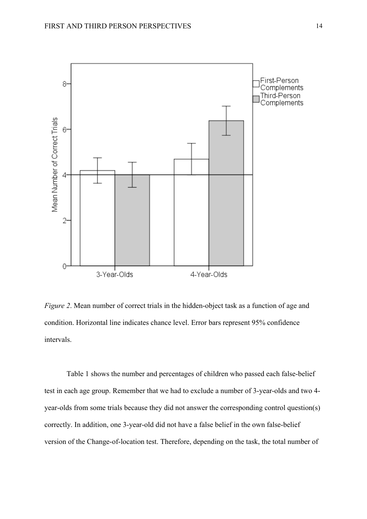

*Figure 2*. Mean number of correct trials in the hidden-object task as a function of age and condition. Horizontal line indicates chance level. Error bars represent 95% confidence intervals.

Table 1 shows the number and percentages of children who passed each false-belief test in each age group. Remember that we had to exclude a number of 3-year-olds and two 4 year-olds from some trials because they did not answer the corresponding control question(s) correctly. In addition, one 3-year-old did not have a false belief in the own false-belief version of the Change-of-location test. Therefore, depending on the task, the total number of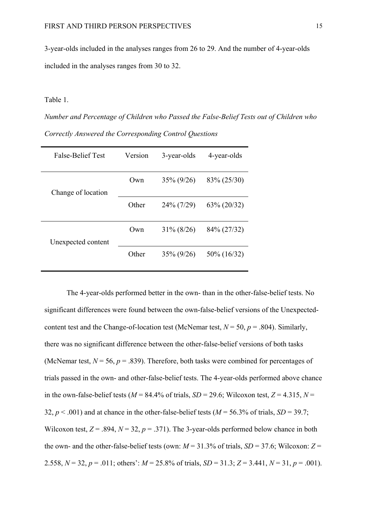3-year-olds included in the analyses ranges from 26 to 29. And the number of 4-year-olds included in the analyses ranges from 30 to 32.

# Table 1.

*Number and Percentage of Children who Passed the False-Belief Tests out of Children who Correctly Answered the Corresponding Control Questions*

| False-Belief Test  | Version | 3-year-olds   | 4-year-olds  |
|--------------------|---------|---------------|--------------|
| Change of location | Own     | $35\% (9/26)$ | 83\% (25/30) |
|                    | Other   | 24% (7/29)    | 63\% (20/32) |
| Unexpected content | Own     | $31\% (8/26)$ | 84\% (27/32) |
|                    | Other   | $35\% (9/26)$ | 50\% (16/32) |

The 4-year-olds performed better in the own- than in the other-false-belief tests. No significant differences were found between the own-false-belief versions of the Unexpectedcontent test and the Change-of-location test (McNemar test,  $N = 50$ ,  $p = .804$ ). Similarly, there was no significant difference between the other-false-belief versions of both tasks (McNemar test,  $N = 56$ ,  $p = .839$ ). Therefore, both tasks were combined for percentages of trials passed in the own- and other-false-belief tests. The 4-year-olds performed above chance in the own-false-belief tests ( $M = 84.4\%$  of trials,  $SD = 29.6$ ; Wilcoxon test,  $Z = 4.315$ ,  $N =$ 32,  $p < .001$ ) and at chance in the other-false-belief tests ( $M = 56.3\%$  of trials,  $SD = 39.7$ ; Wilcoxon test,  $Z = .894$ ,  $N = 32$ ,  $p = .371$ ). The 3-year-olds performed below chance in both the own- and the other-false-belief tests (own:  $M = 31.3\%$  of trials,  $SD = 37.6$ ; Wilcoxon:  $Z =$ 2.558,  $N = 32$ ,  $p = .011$ ; others':  $M = 25.8\%$  of trials,  $SD = 31.3$ ;  $Z = 3.441$ ,  $N = 31$ ,  $p = .001$ ).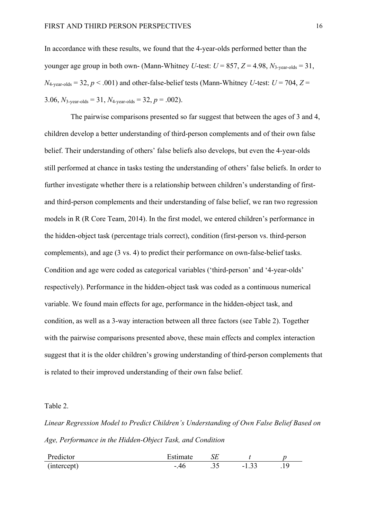In accordance with these results, we found that the 4-year-olds performed better than the younger age group in both own- (Mann-Whitney *U*-test:  $U = 857$ ,  $Z = 4.98$ ,  $N_{3\text{-}year\text{-}olds} = 31$ ,  $N_{4\text{-year-olds}} = 32, p < .001$ ) and other-false-belief tests (Mann-Whitney *U*-test:  $U = 704, Z =$ 3.06,  $N_{3\text{-year-olds}} = 31$ ,  $N_{4\text{-year-olds}} = 32$ ,  $p = .002$ ).

The pairwise comparisons presented so far suggest that between the ages of 3 and 4, children develop a better understanding of third-person complements and of their own false belief. Their understanding of others' false beliefs also develops, but even the 4-year-olds still performed at chance in tasks testing the understanding of others' false beliefs. In order to further investigate whether there is a relationship between children's understanding of firstand third-person complements and their understanding of false belief, we ran two regression models in R (R Core Team, 2014). In the first model, we entered children's performance in the hidden-object task (percentage trials correct), condition (first-person vs. third-person complements), and age (3 vs. 4) to predict their performance on own-false-belief tasks. Condition and age were coded as categorical variables ('third-person' and '4-year-olds' respectively). Performance in the hidden-object task was coded as a continuous numerical variable. We found main effects for age, performance in the hidden-object task, and condition, as well as a 3-way interaction between all three factors (see Table 2). Together with the pairwise comparisons presented above, these main effects and complex interaction suggest that it is the older children's growing understanding of third-person complements that is related to their improved understanding of their own false belief.

# Table 2.

*Linear Regression Model to Predict Children's Understanding of Own False Belief Based on Age, Performance in the Hidden-Object Task, and Condition*

| Predictor   | Estimate |       |                        |   |
|-------------|----------|-------|------------------------|---|
| (intercept) |          | . J J | $\sim$<br>-<br>. . J J | . |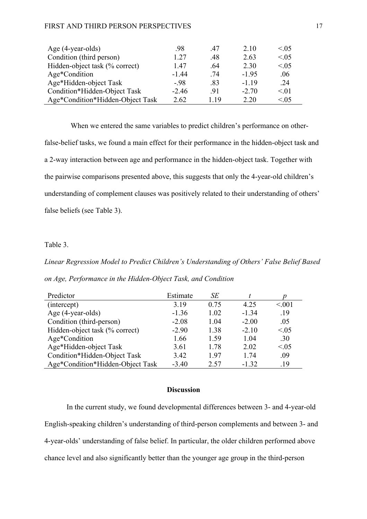#### FIRST AND THIRD PERSON PERSPECTIVES 17

| Age (4-year-olds)                | -98     | -47 | 2.10    | < 0.05 |
|----------------------------------|---------|-----|---------|--------|
| Condition (third person)         | 1 27    | .48 | 2.63    | < 0.05 |
| Hidden-object task (% correct)   | 147     | -64 | 2.30    | < 0.05 |
| Age*Condition                    | $-1.44$ | .74 | $-195$  | .06    |
| Age*Hidden-object Task           | $-98$   | .83 | $-1.19$ | .24    |
| Condition*Hidden-Object Task     | $-2.46$ | -91 | $-2.70$ | < 01   |
| Age*Condition*Hidden-Object Task | 2.62    | 119 | 2 20    | < 0.05 |

When we entered the same variables to predict children's performance on otherfalse-belief tasks, we found a main effect for their performance in the hidden-object task and a 2-way interaction between age and performance in the hidden-object task. Together with the pairwise comparisons presented above, this suggests that only the 4-year-old children's understanding of complement clauses was positively related to their understanding of others' false beliefs (see Table 3).

## Table 3.

# *Linear Regression Model to Predict Children's Understanding of Others' False Belief Based on Age, Performance in the Hidden-Object Task, and Condition*

| Predictor                        | Estimate | SE   |         |        |
|----------------------------------|----------|------|---------|--------|
| (intercept)                      | 3.19     | 0.75 | 4.25    | < 0.01 |
| Age (4-year-olds)                | $-1.36$  | 1.02 | $-1.34$ | .19    |
| Condition (third-person)         | $-2.08$  | 1.04 | $-2.00$ | .05    |
| Hidden-object task (% correct)   | $-2.90$  | 1.38 | $-2.10$ | < 0.05 |
| Age*Condition                    | 1.66     | 1.59 | 1.04    | .30    |
| Age*Hidden-object Task           | 3.61     | 1.78 | 2.02    | < 0.05 |
| Condition*Hidden-Object Task     | 3.42     | 1.97 | 1.74    | .09    |
| Age*Condition*Hidden-Object Task | $-3.40$  | 2.57 | $-1.32$ | .19    |

## **Discussion**

In the current study, we found developmental differences between 3- and 4-year-old English-speaking children's understanding of third-person complements and between 3- and 4-year-olds' understanding of false belief. In particular, the older children performed above chance level and also significantly better than the younger age group in the third-person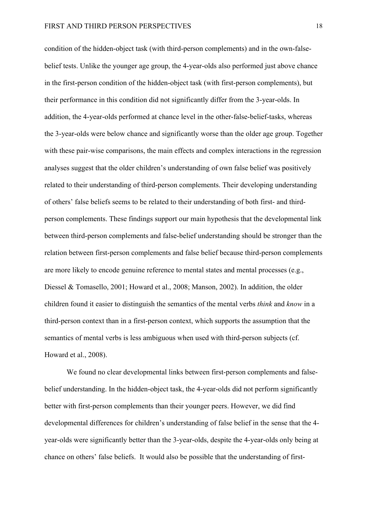condition of the hidden-object task (with third-person complements) and in the own-falsebelief tests. Unlike the younger age group, the 4-year-olds also performed just above chance in the first-person condition of the hidden-object task (with first-person complements), but their performance in this condition did not significantly differ from the 3-year-olds. In addition, the 4-year-olds performed at chance level in the other-false-belief-tasks, whereas the 3-year-olds were below chance and significantly worse than the older age group. Together with these pair-wise comparisons, the main effects and complex interactions in the regression analyses suggest that the older children's understanding of own false belief was positively related to their understanding of third-person complements. Their developing understanding of others' false beliefs seems to be related to their understanding of both first- and thirdperson complements. These findings support our main hypothesis that the developmental link between third-person complements and false-belief understanding should be stronger than the relation between first-person complements and false belief because third-person complements are more likely to encode genuine reference to mental states and mental processes (e.g., Diessel & Tomasello, 2001; Howard et al., 2008; Manson, 2002). In addition, the older children found it easier to distinguish the semantics of the mental verbs *think* and *know* in a third-person context than in a first-person context, which supports the assumption that the semantics of mental verbs is less ambiguous when used with third-person subjects (cf. Howard et al., 2008).

We found no clear developmental links between first-person complements and falsebelief understanding. In the hidden-object task, the 4-year-olds did not perform significantly better with first-person complements than their younger peers. However, we did find developmental differences for children's understanding of false belief in the sense that the 4 year-olds were significantly better than the 3-year-olds, despite the 4-year-olds only being at chance on others' false beliefs. It would also be possible that the understanding of first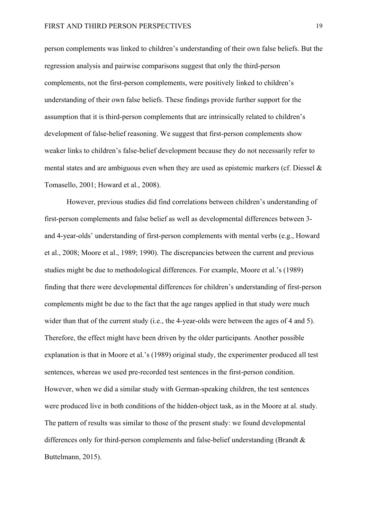person complements was linked to children's understanding of their own false beliefs. But the regression analysis and pairwise comparisons suggest that only the third-person complements, not the first-person complements, were positively linked to children's understanding of their own false beliefs. These findings provide further support for the assumption that it is third-person complements that are intrinsically related to children's development of false-belief reasoning. We suggest that first-person complements show weaker links to children's false-belief development because they do not necessarily refer to mental states and are ambiguous even when they are used as epistemic markers (cf. Diessel  $\&$ Tomasello, 2001; Howard et al., 2008).

However, previous studies did find correlations between children's understanding of first-person complements and false belief as well as developmental differences between 3 and 4-year-olds' understanding of first-person complements with mental verbs (e.g., Howard et al., 2008; Moore et al., 1989; 1990). The discrepancies between the current and previous studies might be due to methodological differences. For example, Moore et al.'s (1989) finding that there were developmental differences for children's understanding of first-person complements might be due to the fact that the age ranges applied in that study were much wider than that of the current study (i.e., the 4-year-olds were between the ages of 4 and 5). Therefore, the effect might have been driven by the older participants. Another possible explanation is that in Moore et al.'s (1989) original study, the experimenter produced all test sentences, whereas we used pre-recorded test sentences in the first-person condition. However, when we did a similar study with German-speaking children, the test sentences were produced live in both conditions of the hidden-object task, as in the Moore at al. study. The pattern of results was similar to those of the present study: we found developmental differences only for third-person complements and false-belief understanding (Brandt & Buttelmann, 2015).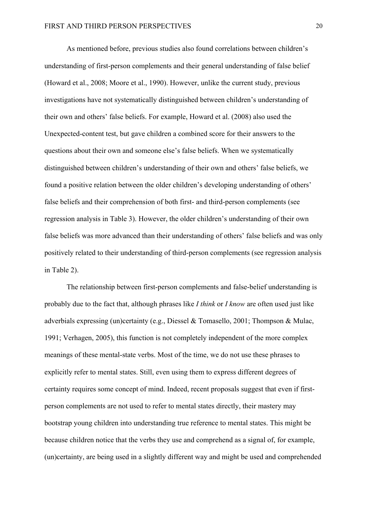As mentioned before, previous studies also found correlations between children's understanding of first-person complements and their general understanding of false belief (Howard et al., 2008; Moore et al., 1990). However, unlike the current study, previous investigations have not systematically distinguished between children's understanding of their own and others' false beliefs. For example, Howard et al. (2008) also used the Unexpected-content test, but gave children a combined score for their answers to the questions about their own and someone else's false beliefs. When we systematically distinguished between children's understanding of their own and others' false beliefs, we found a positive relation between the older children's developing understanding of others' false beliefs and their comprehension of both first- and third-person complements (see regression analysis in Table 3). However, the older children's understanding of their own false beliefs was more advanced than their understanding of others' false beliefs and was only positively related to their understanding of third-person complements (see regression analysis in Table 2).

The relationship between first-person complements and false-belief understanding is probably due to the fact that, although phrases like *I think* or *I know* are often used just like adverbials expressing (un)certainty (e.g., Diessel & Tomasello, 2001; Thompson & Mulac, 1991; Verhagen, 2005), this function is not completely independent of the more complex meanings of these mental-state verbs. Most of the time, we do not use these phrases to explicitly refer to mental states. Still, even using them to express different degrees of certainty requires some concept of mind. Indeed, recent proposals suggest that even if firstperson complements are not used to refer to mental states directly, their mastery may bootstrap young children into understanding true reference to mental states. This might be because children notice that the verbs they use and comprehend as a signal of, for example, (un)certainty, are being used in a slightly different way and might be used and comprehended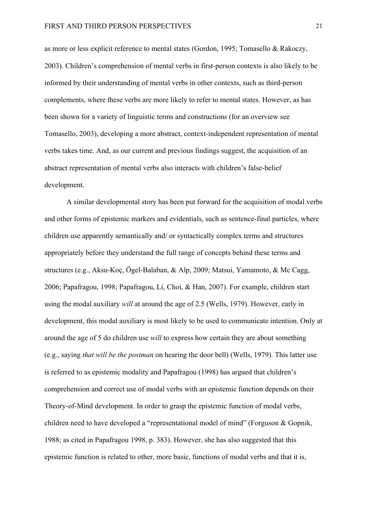as more or less explicit reference to mental states (Gordon, 1995; Tomasello & Rakoczy, 2003). Children's comprehension of mental verbs in first-person contexts is also likely to be informed by their understanding of mental verbs in other contexts, such as third-person complements, where these verbs are more likely to refer to mental states. However, as has been shown for a variety of linguistic terms and constructions (for an overview see Tomasello, 2003), developing a more abstract, context-independent representation of mental verbs takes time. And, as our current and previous findings suggest, the acquisition of an abstract representation of mental verbs also interacts with children's false-belief development.

A similar developmental story has been put forward for the acquisition of modal verbs and other forms of epistemic markers and evidentials, such as sentence-final particles, where children use apparently semantically and/ or syntactically complex terms and structures appropriately before they understand the full range of concepts behind these terms and structures (e.g., Aksu-Koç, Ögel-Balaban, & Alp, 2009; Matsui, Yamamoto, & Mc Cagg, 2006; Papafragou, 1998; Papafragou, Li, Choi, & Han, 2007). For example, children start using the modal auxiliary *will* at around the age of 2.5 (Wells, 1979). However, early in development, this modal auxiliary is most likely to be used to communicate intention. Only at around the age of 5 do children use *will* to express how certain they are about something (e.g., saying *that will be the postman* on hearing the door bell) (Wells, 1979). This latter use is referred to as epistemic modality and Papafragou (1998) has argued that children's comprehension and correct use of modal verbs with an epistemic function depends on their Theory-of-Mind development. In order to grasp the epistemic function of modal verbs, children need to have developed a "representational model of mind" (Forguson & Gopnik, 1988; as cited in Papafragou 1998, p. 383). However, she has also suggested that this epistemic function is related to other, more basic, functions of modal verbs and that it is,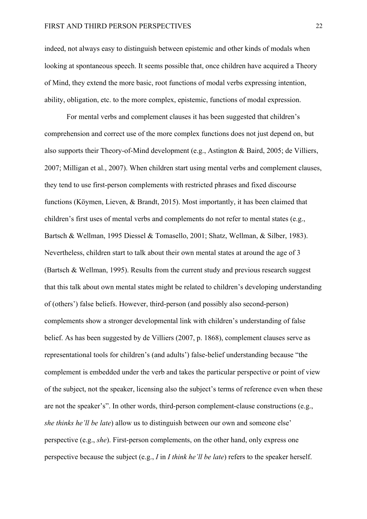indeed, not always easy to distinguish between epistemic and other kinds of modals when looking at spontaneous speech. It seems possible that, once children have acquired a Theory of Mind, they extend the more basic, root functions of modal verbs expressing intention, ability, obligation, etc. to the more complex, epistemic, functions of modal expression.

For mental verbs and complement clauses it has been suggested that children's comprehension and correct use of the more complex functions does not just depend on, but also supports their Theory-of-Mind development (e.g., Astington & Baird, 2005; de Villiers, 2007; Milligan et al., 2007). When children start using mental verbs and complement clauses, they tend to use first-person complements with restricted phrases and fixed discourse functions (Köymen, Lieven, & Brandt, 2015). Most importantly, it has been claimed that children's first uses of mental verbs and complements do not refer to mental states (e.g., Bartsch & Wellman, 1995 Diessel & Tomasello, 2001; Shatz, Wellman, & Silber, 1983). Nevertheless, children start to talk about their own mental states at around the age of 3 (Bartsch & Wellman, 1995). Results from the current study and previous research suggest that this talk about own mental states might be related to children's developing understanding of (others') false beliefs. However, third-person (and possibly also second-person) complements show a stronger developmental link with children's understanding of false belief. As has been suggested by de Villiers (2007, p. 1868), complement clauses serve as representational tools for children's (and adults') false-belief understanding because "the complement is embedded under the verb and takes the particular perspective or point of view of the subject, not the speaker, licensing also the subject's terms of reference even when these are not the speaker's". In other words, third-person complement-clause constructions (e.g., *she thinks he'll be late*) allow us to distinguish between our own and someone else' perspective (e.g., *she*). First-person complements, on the other hand, only express one perspective because the subject (e.g., *I* in *I think he'll be late*) refers to the speaker herself.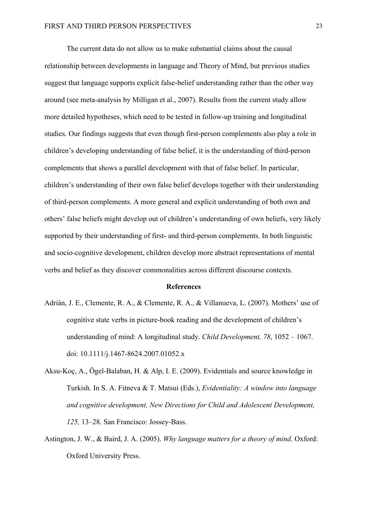The current data do not allow us to make substantial claims about the causal relationship between developments in language and Theory of Mind, but previous studies suggest that language supports explicit false-belief understanding rather than the other way around (see meta-analysis by Milligan et al., 2007). Results from the current study allow more detailed hypotheses, which need to be tested in follow-up training and longitudinal studies. Our findings suggests that even though first-person complements also play a role in children's developing understanding of false belief, it is the understanding of third-person complements that shows a parallel development with that of false belief. In particular, children's understanding of their own false belief develops together with their understanding of third-person complements. A more general and explicit understanding of both own and others' false beliefs might develop out of children's understanding of own beliefs, very likely supported by their understanding of first- and third-person complements. In both linguistic and socio-cognitive development, children develop more abstract representations of mental verbs and belief as they discover commonalities across different discourse contexts.

#### **References**

- Adrián, J. E., Clemente, R. A., & Clemente, R. A., & Villanueva, L. (2007). Mothers' use of cognitive state verbs in picture-book reading and the development of children's understanding of mind: A longitudinal study. *Child Development, 78*, 1052 – 1067. doi: 10.1111/j.1467-8624.2007.01052.x
- Aksu-Koç, A., Ögel-Balaban, H. & Alp, I. E. (2009). Evidentials and source knowledge in Turkish. In S. A. Fitneva & T. Matsui (Eds.), *Evidentiality: A window into language and cognitive development, New Directions for Child and Adolescent Development, 125,* 13–28. San Francisco: Jossey-Bass.
- Astington, J. W., & Baird, J. A. (2005). *Why language matters for a theory of mind*. Oxford: Oxford University Press.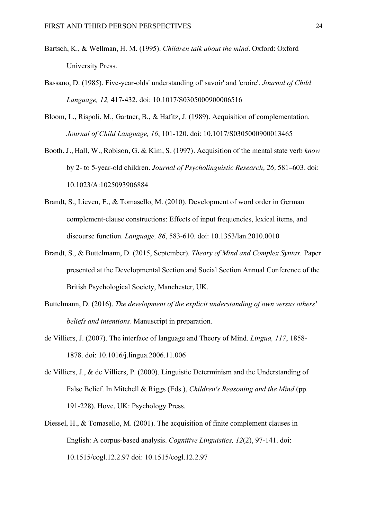- Bartsch, K., & Wellman, H. M. (1995). *Children talk about the mind*. Oxford: Oxford University Press.
- Bassano, D. (1985). Five-year-olds' understanding of' savoir' and 'croire'. *Journal of Child Language, 12,* 417-432. doi: 10.1017/S0305000900006516
- Bloom, L., Rispoli, M., Gartner, B., & Hafitz, J. (1989). Acquisition of complementation. *Journal of Child Language, 16*, 101-120. doi: 10.1017/S0305000900013465
- Booth, J., Hall, W., Robison, G. & Kim, S. (1997). Acquisition of the mental state verb *know*  by 2- to 5-year-old children. *Journal of Psycholinguistic Research, 26,* 581–603. doi: 10.1023/A:1025093906884
- Brandt, S., Lieven, E., & Tomasello, M. (2010). Development of word order in German complement-clause constructions: Effects of input frequencies, lexical items, and discourse function. *Language, 86*, 583-610. doi: 10.1353/lan.2010.0010
- Brandt, S., & Buttelmann, D. (2015, September). *Theory of Mind and Complex Syntax.* Paper presented at the Developmental Section and Social Section Annual Conference of the British Psychological Society, Manchester, UK.
- Buttelmann, D. (2016). *The development of the explicit understanding of own versus others' beliefs and intentions*. Manuscript in preparation.
- de Villiers, J. (2007). The interface of language and Theory of Mind. *Lingua, 117*, 1858- 1878. doi: 10.1016/j.lingua.2006.11.006
- de Villiers, J., & de Villiers, P. (2000). Linguistic Determinism and the Understanding of False Belief. In Mitchell & Riggs (Eds.), *Children's Reasoning and the Mind* (pp. 191-228). Hove, UK: Psychology Press.
- Diessel, H., & Tomasello, M. (2001). The acquisition of finite complement clauses in English: A corpus-based analysis. *Cognitive Linguistics, 12*(2), 97-141. doi: 10.1515/cogl.12.2.97 doi: 10.1515/cogl.12.2.97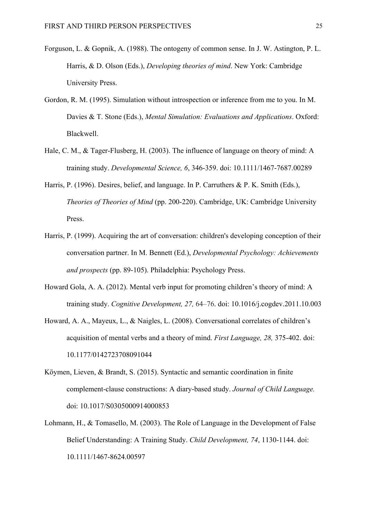- Forguson, L. & Gopnik, A. (1988). The ontogeny of common sense. In J. W. Astington, P. L. Harris, & D. Olson (Eds.), *Developing theories of mind*. New York: Cambridge University Press.
- Gordon, R. M. (1995). Simulation without introspection or inference from me to you. In M. Davies & T. Stone (Eds.), *Mental Simulation: Evaluations and Applications*. Oxford: Blackwell.
- Hale, C. M., & Tager-Flusberg, H. (2003). The influence of language on theory of mind: A training study. *Developmental Science, 6*, 346-359. doi: 10.1111/1467-7687.00289
- Harris, P. (1996). Desires, belief, and language. In P. Carruthers & P. K. Smith (Eds.), *Theories of Theories of Mind* (pp. 200-220). Cambridge, UK: Cambridge University Press.
- Harris, P. (1999). Acquiring the art of conversation: children's developing conception of their conversation partner. In M. Bennett (Ed.), *Developmental Psychology: Achievements and prospects* (pp. 89-105). Philadelphia: Psychology Press.
- Howard Gola, A. A. (2012). Mental verb input for promoting children's theory of mind: A training study. *Cognitive Development, 27,* 64–76. doi: 10.1016/j.cogdev.2011.10.003
- Howard, A. A., Mayeux, L., & Naigles, L. (2008). Conversational correlates of children's acquisition of mental verbs and a theory of mind. *First Language, 28,* 375-402. doi: 10.1177/0142723708091044
- Köymen, Lieven, & Brandt, S. (2015). Syntactic and semantic coordination in finite complement-clause constructions: A diary-based study. *Journal of Child Language.*  doi: 10.1017/S0305000914000853
- Lohmann, H., & Tomasello, M. (2003). The Role of Language in the Development of False Belief Understanding: A Training Study. *Child Development, 74*, 1130-1144. doi: 10.1111/1467-8624.00597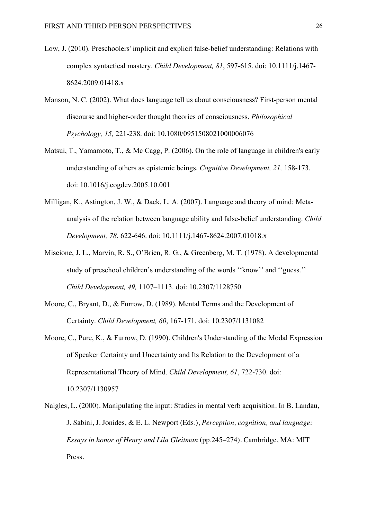- Low, J. (2010). Preschoolers' implicit and explicit false-belief understanding: Relations with complex syntactical mastery. *Child Development, 81*, 597-615. doi: 10.1111/j.1467- 8624.2009.01418.x
- Manson, N. C. (2002). What does language tell us about consciousness? First-person mental discourse and higher-order thought theories of consciousness. *Philosophical Psychology, 15,* 221-238. doi: 10.1080/0951508021000006076
- Matsui, T., Yamamoto, T., & Mc Cagg, P. (2006). On the role of language in children's early understanding of others as epistemic beings. *Cognitive Development, 21,* 158-173. doi: 10.1016/j.cogdev.2005.10.001
- Milligan, K., Astington, J. W., & Dack, L. A. (2007). Language and theory of mind: Metaanalysis of the relation between language ability and false-belief understanding. *Child Development, 78*, 622-646. doi: 10.1111/j.1467-8624.2007.01018.x
- Miscione, J. L., Marvin, R. S., O'Brien, R. G., & Greenberg, M. T. (1978). A developmental study of preschool children's understanding of the words ''know'' and ''guess.'' *Child Development, 49,* 1107–1113. doi: 10.2307/1128750
- Moore, C., Bryant, D., & Furrow, D. (1989). Mental Terms and the Development of Certainty. *Child Development, 60*, 167-171. doi: 10.2307/1131082
- Moore, C., Pure, K., & Furrow, D. (1990). Children's Understanding of the Modal Expression of Speaker Certainty and Uncertainty and Its Relation to the Development of a Representational Theory of Mind. *Child Development, 61*, 722-730. doi: 10.2307/1130957
- Naigles, L. (2000). Manipulating the input: Studies in mental verb acquisition. In B. Landau, J. Sabini, J. Jonides, & E. L. Newport (Eds.), *Perception, cognition, and language: Essays in honor of Henry and Lila Gleitman* (pp.245–274). Cambridge, MA: MIT Press.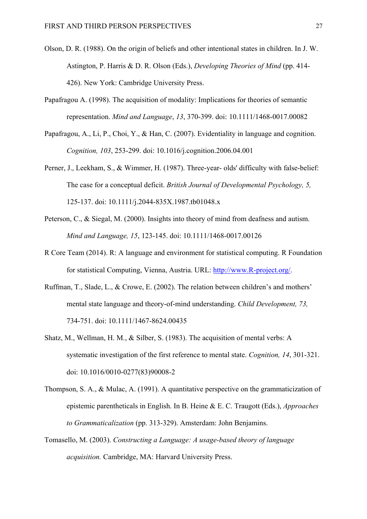- Olson, D. R. (1988). On the origin of beliefs and other intentional states in children. In J. W. Astington, P. Harris & D. R. Olson (Eds.), *Developing Theories of Mind* (pp. 414- 426). New York: Cambridge University Press.
- Papafragou A. (1998). The acquisition of modality: Implications for theories of semantic representation. *Mind and Language*, *13*, 370-399. doi: 10.1111/1468-0017.00082
- Papafragou, A., Li, P., Choi, Y., & Han, C. (2007). Evidentiality in language and cognition. *Cognition, 103*, 253-299. doi: 10.1016/j.cognition.2006.04.001
- Perner, J., Leekham, S., & Wimmer, H. (1987). Three-year- olds' difficulty with false-belief: The case for a conceptual deficit. *British Journal of Developmental Psychology, 5,* 125-137. doi: 10.1111/j.2044-835X.1987.tb01048.x
- Peterson, C., & Siegal, M. (2000). Insights into theory of mind from deafness and autism. *Mind and Language, 15*, 123-145. doi: 10.1111/1468-0017.00126
- R Core Team (2014). R: A language and environment for statistical computing. R Foundation for statistical Computing, Vienna, Austria. URL: http://www.R-project.org/.
- Ruffman, T., Slade, L., & Crowe, E. (2002). The relation between children's and mothers' mental state language and theory-of-mind understanding. *Child Development, 73,*  734-751. doi: 10.1111/1467-8624.00435
- Shatz, M., Wellman, H. M., & Silber, S. (1983). The acquisition of mental verbs: A systematic investigation of the first reference to mental state. *Cognition, 14*, 301-321. doi: 10.1016/0010-0277(83)90008-2
- Thompson, S. A., & Mulac, A. (1991). A quantitative perspective on the grammaticization of epistemic parentheticals in English. In B. Heine & E. C. Traugott (Eds.), *Approaches to Grammaticalization* (pp. 313-329). Amsterdam: John Benjamins.
- Tomasello, M. (2003). *Constructing a Language: A usage-based theory of language acquisition.* Cambridge, MA: Harvard University Press.